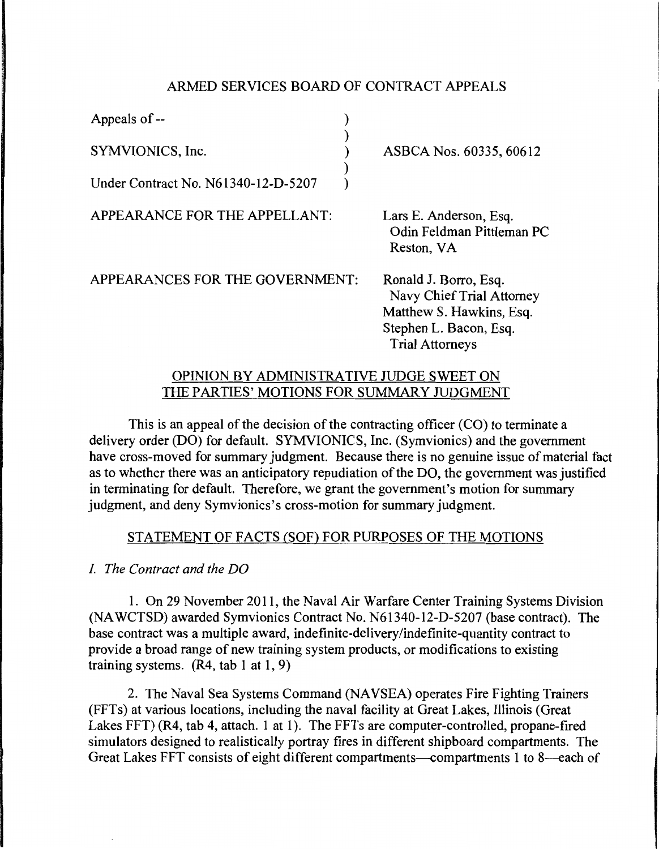## ARMED SERVICES BOARD OF CONTRACT APPEALS

) ) ) )  $\lambda$ 

Appeals of -- SYMVIONICS, Inc. Under Contract No. N61340-12-D-5207

APPEARANCE FOR THE APPELLANT:

ASBCA Nos. 60335, 60612

Lars E. Anderson, Esq. Odin Feldman Pittleman PC Reston, VA

APPEARANCES FOR THE GOVERNMENT:

Ronald J. Borro, Esq. Navy Chief Trial Attorney Matthew S. Hawkins, Esq. Stephen L. Bacon, Esq. Trial Attorneys

## OPINION BY ADMINISTRATIVE JUDGE SWEET ON THE PARTIES' MOTIONS FOR SUMMARY JUDGMENT

This is an appeal of the decision of the contracting officer (CO) to terminate a delivery order (DO) for default. SYMVIONICS, Inc. (Symvionics) and the government have cross-moved for summary judgment. Because there is no genuine issue of material fact as to whether there was an anticipatory repudiation of the DO, the government was justified in terminating for default. Therefore, we grant the government's motion for summary judgment, and deny Symvionics's cross-motion for summary judgment.

# STATEMENT OF FACTS (SOF) FOR PURPOSES OF THE MOTIONS

*I The Contract and the DO* 

1. On 29 November 2011, the Naval Air Warfare Center Training Systems Division (NA WCTSD) awarded Symvionics Contract No. N61340-12-D-5207 (base contract). The base contract was a multiple award, indefinite-delivery/indefinite-quantity contract to provide a broad range of new training system products, or modifications to existing training systems.  $(R4, tab 1 at 1, 9)$ 

2. The Naval Sea Systems Command (NAVSEA) operates Fire Fighting Trainers (FFTs) at various locations, including the naval facility at Great Lakes, Illinois (Great Lakes FFT) (R4, tab 4, attach. 1 at 1). The FFTs are computer-controlled, propane-fired simulators designed to realistically portray fires in different shipboard compartments. The Great Lakes FFT consists of eight different compartments--compartments 1 to 8--each of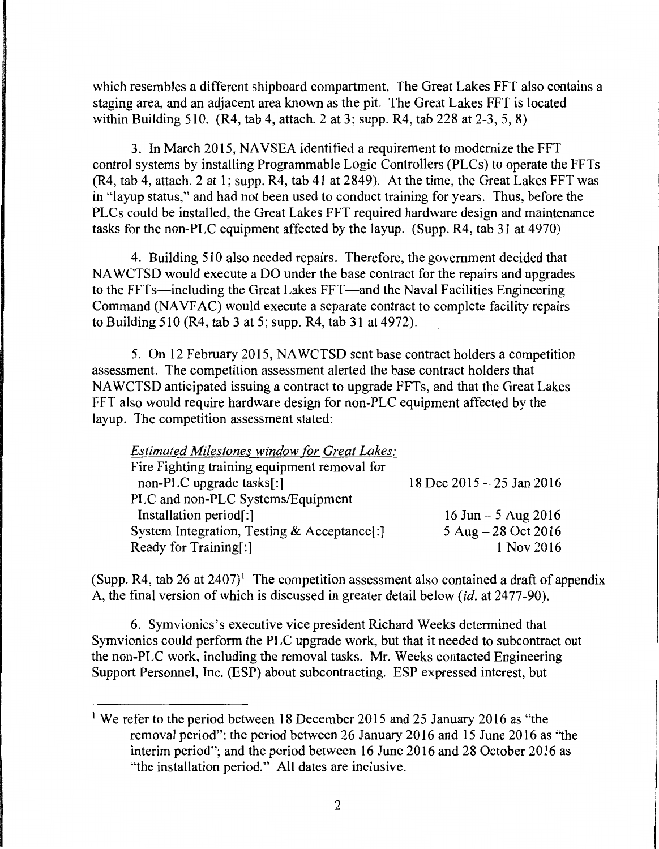which resembles a different shipboard compartment. The Great Lakes FFT also contains a staging area, and an adjacent area known as the pit. The Great Lakes FFT is located within Building 510. (R4, tab 4, attach. 2 at 3; supp. R4, tab 228 at 2-3, 5, 8)

3. In March 2015, NAVSEA identified a requirement to modernize the FFT control systems by installing Programmable Logic Controllers (PLCs) to operate the FFTs (R4, tab 4, attach. 2 at 1; supp. R4, tab 41 at 2849). At the time, the Great Lakes FFT was in "layup status," and had not been used to conduct training for years. Thus, before the PLCs could be installed, the Great Lakes FFT required hardware design and maintenance tasks for the non-PLC equipment affected by the layup. (Supp. R4, tab 31 at 4970)

4. Building 510 also needed repairs. Therefore, the government decided that NA WCTSD would execute a DO under the base contract for the repairs and upgrades to the FFTs—including the Great Lakes FFT—and the Naval Facilities Engineering Command (NAVFAC) would execute a separate contract to complete facility repairs to Building 510 (R4, tab 3 at 5; supp. R4, tab 31 at 4972).

5. On 12 February 2015, NAWCTSD sent base contract holders a competition assessment. The competition assessment alerted the base contract holders that NA WCTSD anticipated issuing a contract to upgrade FFTs, and that the Great Lakes FFT also would require hardware design for non-PLC equipment affected by the layup. The competition assessment stated:

| <b>Estimated Milestones window for Great Lakes:</b> |                               |
|-----------------------------------------------------|-------------------------------|
| Fire Fighting training equipment removal for        |                               |
| non-PLC upgrade tasks[:]                            | 18 Dec $2015 - 25$ Jan $2016$ |
| PLC and non-PLC Systems/Equipment                   |                               |
| Installation period[:]                              | 16 Jun $-5$ Aug 2016          |
| System Integration, Testing & Acceptance[:]         | 5 Aug $-28$ Oct 2016          |
| Ready for Training[:]                               | 1 Nov 2016                    |

(Supp. R4, tab 26 at 2407)<sup>1</sup> The competition assessment also contained a draft of appendix A, the final version of which is discussed in greater detail below *(id. at 2477-90)*.

6. Symvionics's executive vice president Richard Weeks determined that Symvionics could perform the PLC upgrade work, but that it needed to subcontract out the non-PLC work, including the removal tasks. Mr. Weeks contacted Engineering Support Personnel, Inc. (ESP) about subcontracting. ESP expressed interest, but

<sup>&</sup>lt;sup>1</sup> We refer to the period between 18 December 2015 and 25 January 2016 as "the removal period"; the period between 26 January 2016 and 15 June 2016 as "the interim period"; and the period between 16 June 2016 and 28 October 2016 as "the installation period." All dates are inclusive.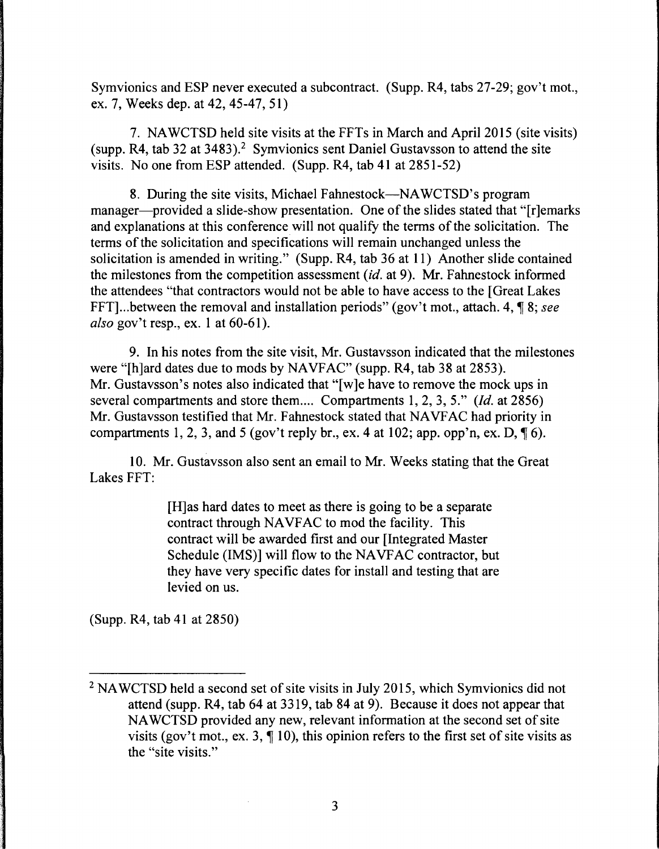Symvionics and ESP never executed a subcontract. (Supp. R4, tabs 27-29; gov't mot., ex. 7, Weeks dep. at 42, 45-47, 51)

7. NAWCTSD held site visits at the FFTs in March and April 2015 (site visits) (supp. R4, tab 32 at 3483).<sup>2</sup> Symvionics sent Daniel Gustavsson to attend the site visits. No one from ESP attended. (Supp. R4, tab 41 at 2851-52)

8. During the site visits, Michael Fahnestock—NAWCTSD's program manager—provided a slide-show presentation. One of the slides stated that "[r]emarks and explanations at this conference will not qualify the terms of the solicitation. The terms of the solicitation and specifications will remain unchanged unless the solicitation is amended in writing." (Supp. R4, tab 36 at 11) Another slide contained the milestones from the competition assessment *(id.* at 9). Mr. Fahnestock informed the attendees "that contractors would not be able to have access to the [Great Lakes FFT]... between the removal and installation periods" (gov't mot., attach. 4,  $\P$ 8; see *also* gov't resp., ex. 1 at 60-61 ).

9. In his notes from the site visit, Mr. Gustavsson indicated that the milestones were "[h]ard dates due to mods by NAVFAC" (supp. R4, tab 38 at 2853). Mr. Gustavsson's notes also indicated that "[w]e have to remove the mock ups in several compartments and store them .... Compartments 1, 2, 3, 5." *(Id.* at 2856) Mr. Gustavsson testified that Mr. Fahnestock stated that NAVFAC had priority in compartments 1, 2, 3, and 5 (gov't reply br., ex. 4 at 102; app. opp'n, ex. D,  $\P$  6).

10. Mr. Gustavsson also sent an email to Mr. Weeks stating that the Great Lakes FFT:

> [H]as hard dates to meet as there is going to be a separate contract through NAVFAC to mod the facility. This contract will be awarded first and our [Integrated Master Schedule (IMS)] will flow to the NAVFAC contractor, but they have very specific dates for install and testing that are levied on us.

(Supp. R4, tab 41 at 2850)

<sup>&</sup>lt;sup>2</sup> NAWCTSD held a second set of site visits in July 2015, which Symvionics did not attend (supp. R4, tab 64 at 3319, tab 84 at 9). Because it does not appear that NA WCTSD provided any new, relevant information at the second set of site visits (gov't mot., ex. 3,  $\P$  10), this opinion refers to the first set of site visits as the "site visits."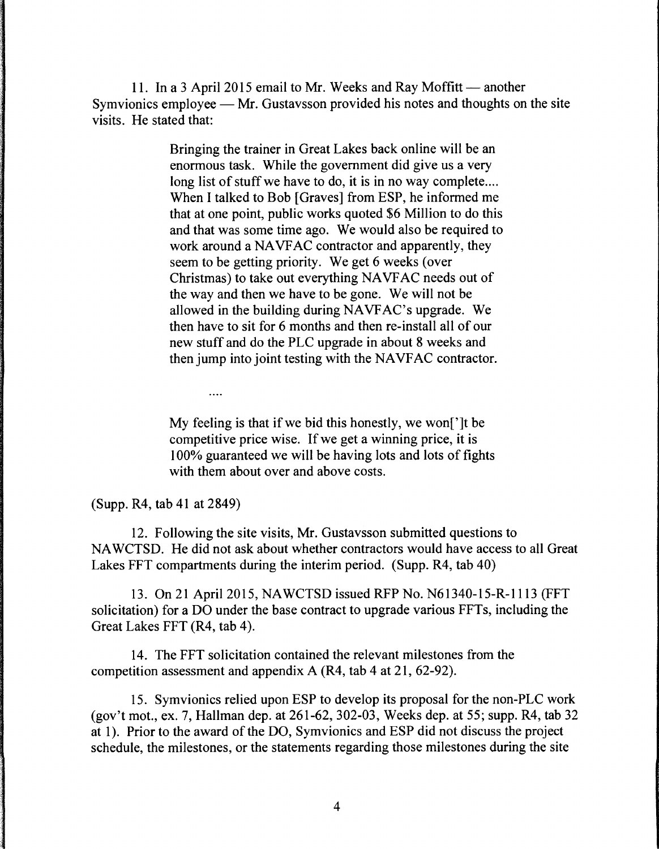11. In a 3 April 2015 email to Mr. Weeks and Ray Moffitt  $-$  another Symvionics employee  $\equiv$  Mr. Gustavsson provided his notes and thoughts on the site visits. He stated that:

> Bringing the trainer in Great Lakes back online will be an enormous task. While the government did give us a very long list of stuff we have to do, it is in no way complete.... When I talked to Bob [Graves] from ESP, he informed me that at one point, public works quoted \$6 Million to do this and that was some time ago. We would also be required to work around a NAVFAC contractor and apparently, they seem to be getting priority. We get 6 weeks (over Christmas) to take out everything NA VF AC needs out of the way and then we have to be gone. We will not be allowed in the building during NA VFAC's upgrade. We then have to sit for 6 months and then re-install all of our new stuff and do the PLC upgrade in about 8 weeks and then jump into joint testing with the NAVFAC contractor.

My feeling is that if we bid this honestly, we won[']t be competitive price wise. If we get a winning price, it is 100% guaranteed we will be having lots and lots of fights with them about over and above costs.

(Supp. R4, tab 41 at 2849)

....

12. Following the site visits, Mr. Gustavsson submitted questions to NAWCTSD. He did not ask about whether contractors would have access to all Great Lakes FFT compartments during the interim period. (Supp. R4, tab 40)

13. On 21April2015, NAWCTSD issued RFP No. N61340-15-R-1113 (FFT solicitation) for a DO under the base contract to upgrade various FFTs, including the Great Lakes FFT (R4, tab 4).

14. The FFT solicitation contained the relevant milestones from the competition assessment and appendix A (R4, tab 4 at 21, 62-92).

15. Symvionics relied upon ESP to develop its proposal for the non-PLC work (gov't mot., ex. 7, Hallman dep. at 261-62, 302-03, Weeks dep. at 55; supp. R4, tab 32 at 1 ). Prior to the award of the DO, Symvionics and ESP did not discuss the project schedule, the milestones, or the statements regarding those milestones during the site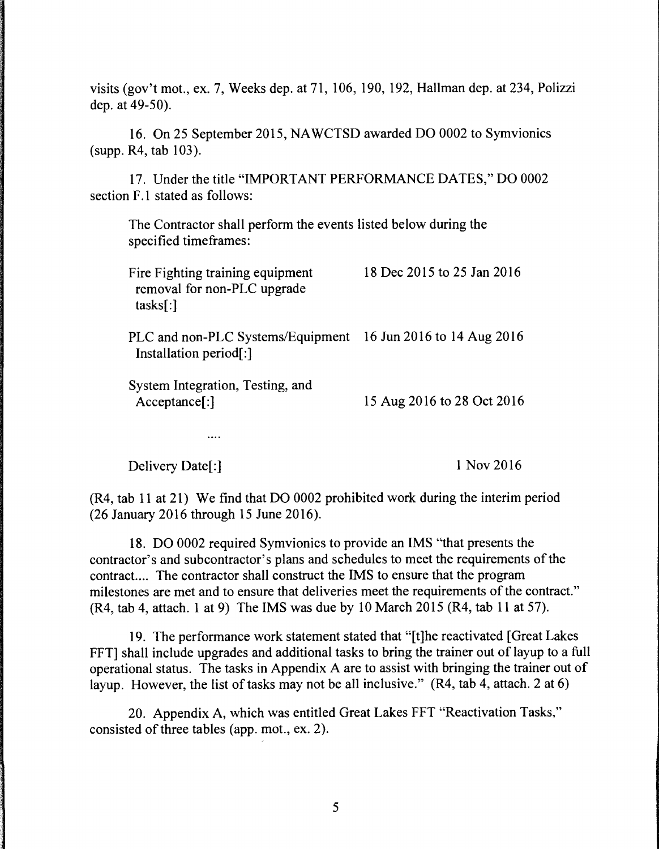visits (gov't mot., ex. 7, Weeks dep. at 71, 106, 190, 192, Hallman dep. at 234, Polizzi dep. at 49-50).

16. On 25 September 2015, NAWCTSD awarded DO 0002 to Symvionics (supp. R4, tab 103).

17. Under the title "IMPORTANT PERFORMANCE DATES," DO 0002 section F.1 stated as follows:

The Contractor shall perform the events listed below during the specified timeframes:

| Fire Fighting training equipment<br>removal for non-PLC upgrade<br>tasks[:) | 18 Dec 2015 to 25 Jan 2016 |
|-----------------------------------------------------------------------------|----------------------------|
| PLC and non-PLC Systems/Equipment<br>Installation period[:]                 | 16 Jun 2016 to 14 Aug 2016 |
| System Integration, Testing, and<br>Acceptance[:]                           | 15 Aug 2016 to 28 Oct 2016 |

Delivery Date[:]

 $\cdots$ 

1Nov2016

(R4, tab 11 at 21) We find that DO 0002 prohibited work during the interim period (26 January 2016 through 15 June 2016).

18. DO 0002 required Symvionics to provide an IMS "that presents the contractor's and subcontractor's plans and schedules to meet the requirements of the contract.... The contractor shall construct the IMS to ensure that the program milestones are met and to ensure that deliveries meet the requirements of the contract." (R4, tab 4, attach. 1 at 9) The IMS was due by 10 March 2015 (R4, tab 11 at 57).

19. The performance work statement stated that "[t]he reactivated [Great Lakes FFT] shall include upgrades and additional tasks to bring the trainer out of layup to a full operational status. The tasks in Appendix A are to assist with bringing the trainer out of layup. However, the list of tasks may not be all inclusive." (R4, tab 4, attach. 2 at 6)

20. Appendix A, which was entitled Great Lakes FFT "Reactivation Tasks," consisted of three tables (app. mot., ex. 2).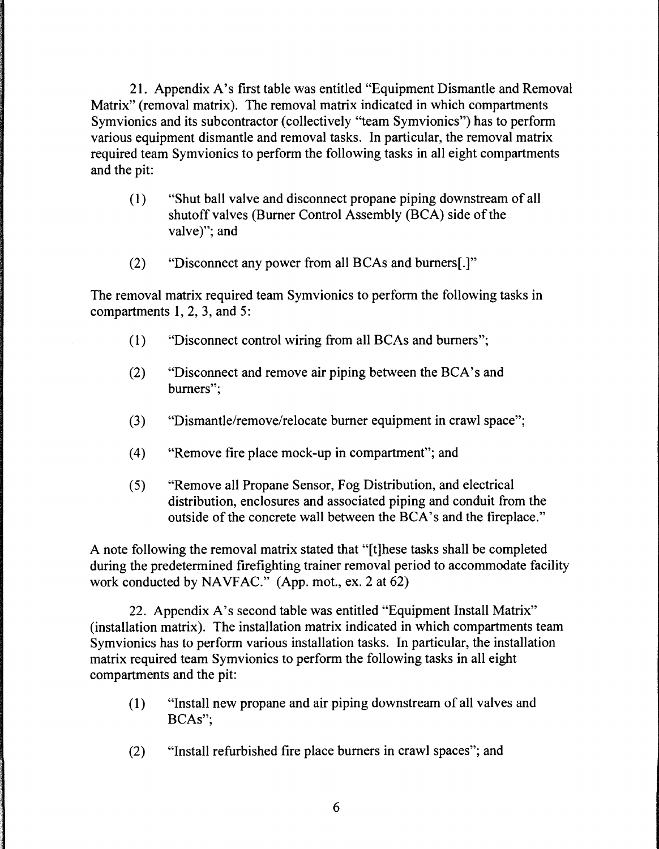21. Appendix A's first table was entitled "Equipment Dismantle and Removal Matrix" (removal matrix). The removal matrix indicated in which compartments Symvionics and its subcontractor (collectively "team Symvionics") has to perform various equipment dismantle and removal tasks. In particular, the removal matrix required team Symvionics to perform the following tasks in all eight compartments and the pit:

- ( 1) "Shut ball valve and disconnect propane piping downstream of all shutoff valves (Burner Control Assembly (BCA) side of the valve)"; and
- (2) "Disconnect any power from all BCAs and burners[.]"

The removal matrix required team Symvionics to perform the following tasks in compartments 1, 2, 3, and 5:

- ( 1) "Disconnect control wiring from all BCAs and burners";
- (2) "Disconnect and remove air piping between the BCA's and burners";
- (3) "Dismantle/remove/relocate burner equipment in crawl space";
- (4) "Remove fire place mock-up in compartment"; and
- (5) "Remove all Propane Sensor, Fog Distribution, and electrical distribution, enclosures and associated piping and conduit from the outside of the concrete wall between the BCA's and the fireplace."

A note following the removal matrix stated that "[t]hese tasks shall be completed during the predetermined firefighting trainer removal period to accommodate facility work conducted by NAVFAC." (App. mot., ex. 2 at 62)

22. Appendix A's second table was entitled "Equipment Install Matrix" (installation matrix). The installation matrix indicated in which compartments team Symvionics has to perform various installation tasks. In particular, the installation matrix required team Symvionics to perform the following tasks in all eight compartments and the pit:

- ( 1) "Install new propane and air piping downstream of all valves and BCAs";
- (2) "Install refurbished fire place burners in crawl spaces"; and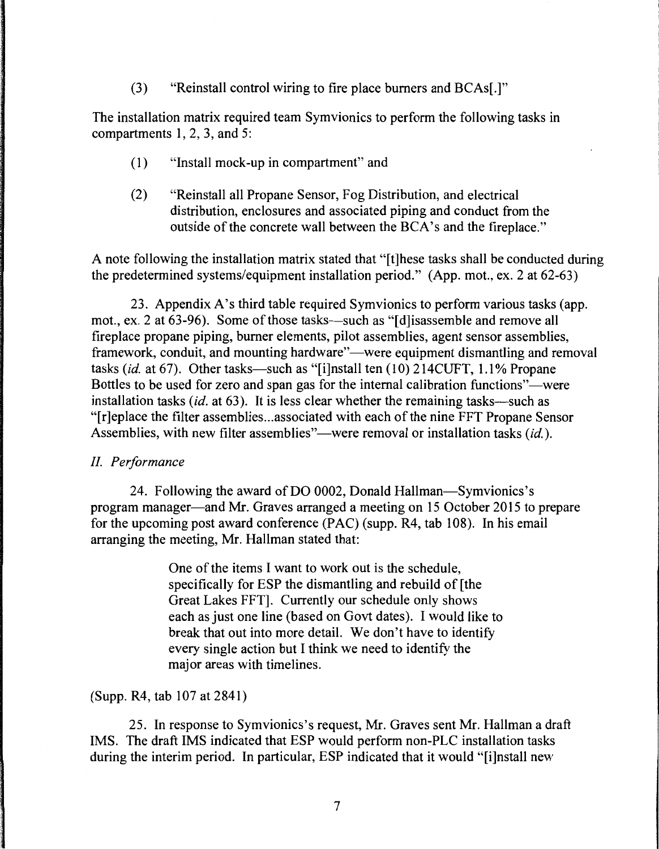(3) "Reinstall control wiring to fire place burners and BCAs[.]"

The installation matrix required team Symvionics to perform the following tasks in compartments 1, 2, 3, and 5:

- (1) "Install mock-up in compartment" and
- (2) "Reinstall all Propane Sensor, Fog Distribution, and electrical distribution, enclosures and associated piping and conduct from the outside of the concrete wall between the BCA's and the fireplace."

A note following the installation matrix stated that "[t]hese tasks shall be conducted during the predetermined systems/equipment installation period." (App. mot., ex. 2 at 62-63)

23. Appendix A's third table required Symvionics to perform various tasks (app. mot., ex. 2 at 63-96). Some of those tasks—such as "[d] isassemble and remove all fireplace propane piping, burner elements, pilot assemblies, agent sensor assemblies, framework, conduit, and mounting hardware"—were equipment dismantling and removal tasks *(id.* at 67). Other tasks—such as "[i]nstall ten (10) 214CUFT, 1.1% Propane Bottles to be used for zero and span gas for the internal calibration functions"—were installation tasks *(id.* at 63). It is less clear whether the remaining tasks—such as "[r]eplace the filter assemblies ... associated with each of the nine FFT Propane Sensor Assemblies, with new filter assemblies"—were removal or installation tasks *(id.).* 

# *II. Performance*

24. Following the award of DO 0002, Donald Hallman-Symvionics's program manager-and Mr. Graves arranged a meeting on 15 October 2015 to prepare for the upcoming post award conference  $(PAC)$  (supp. R4, tab 108). In his email arranging the meeting, Mr. Hallman stated that:

> One of the items I want to work out is the schedule, specifically for ESP the dismantling and rebuild of [the Great Lakes FFT]. Currently our schedule only shows each as just one line (based on Govt dates). I would like to break that out into more detail. We don't have to identify every single action but I think we need to identify the major areas with timelines.

(Supp. R4, tab 107 at 2841)

25. In response to Symvionics's request, Mr. Graves sent Mr. Hallman a draft IMS. The draft IMS indicated that ESP would perform non-PLC installation tasks during the interim period. In particular, ESP indicated that it would "[i]nstall new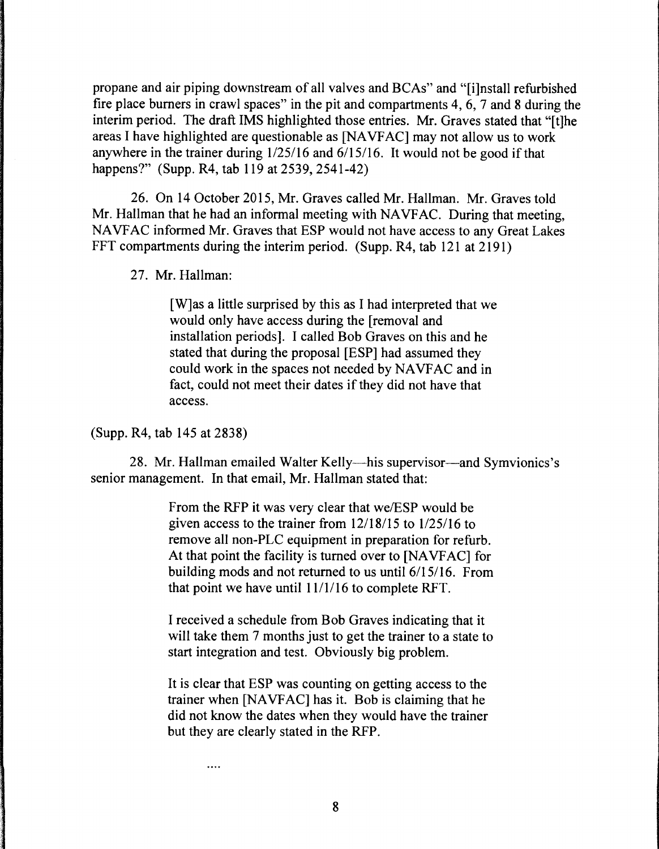propane and air piping downstream of all valves and BCAs" and "[i]nstall refurbished fire place burners in crawl spaces" in the pit and compartments 4, 6, 7 and 8 during the interim period. The draft IMS highlighted those entries. Mr. Graves stated that "[t]he areas I have highlighted are questionable as [NA VF AC] may not allow us to work anywhere in the trainer during  $1/25/16$  and  $6/15/16$ . It would not be good if that happens?" (Supp. R4, tab 119 at 2539, 2541-42)

26. On 14 October 2015, Mr. Graves called Mr. Hallman. Mr. Graves told Mr. Hallman that he had an informal meeting with NAVFAC. During that meeting, NA VFAC informed Mr. Graves that ESP would not have access to any Great Lakes FFT compartments during the interim period. (Supp. R4, tab 121 at 2191)

27. Mr. Hallman:

[W]as a little surprised by this as I had interpreted that we would only have access during the [removal and installation periods]. I called Bob Graves on this and he stated that during the proposal [ESP] had assumed they could work in the spaces not needed by NAVFAC and in fact, could not meet their dates if they did not have that access.

(Supp. R4, tab 145 at 2838)

 $\cdots$ 

28. Mr. Hallman emailed Walter Kelly—his supervisor—and Symvionics's senior management. In that email, Mr. Hallman stated that:

> From the RFP it was very clear that we/ESP would be given access to the trainer from  $12/18/15$  to  $1/25/16$  to remove all non-PLC equipment in preparation for refurb. At that point the facility is turned over to [NAVFAC] for building mods and not returned to us until 6/15/16. From that point we have until  $11/1/16$  to complete RFT.

> I received a schedule from Bob Graves indicating that it will take them 7 months just to get the trainer to a state to start integration and test. Obviously big problem.

It is clear that ESP was counting on getting access to the trainer when [NA VF AC] has it. Bob is claiming that he did not know the dates when they would have the trainer but they are clearly stated in the RFP.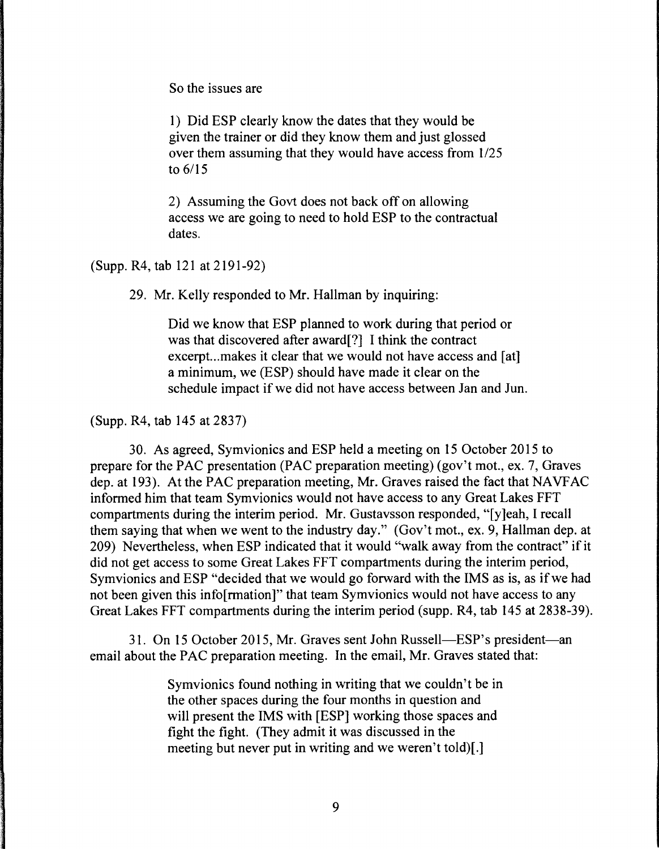So the issues are

1) Did ESP clearly know the dates that they would be given the trainer or did they know them and just glossed over them assuming that they would have access from  $1/25$ to 6/15

2) Assuming the Govt does not back off on allowing access we are going to need to hold ESP to the contractual dates.

(Supp. R4, tab 121at2191-92)

29. Mr. Kelly responded to Mr. Hallman by inquiring:

Did we know that ESP planned to work during that period or was that discovered after award[?] I think the contract excerpt...makes it clear that we would not have access and [at] a minimum, we (ESP) should have made it clear on the schedule impact if we did not have access between Jan and Jun.

(Supp. R4, tab 145 at 2837)

30. As agreed, Symvionics and ESP held a meeting on 15 October 2015 to prepare for the PAC presentation (PAC preparation meeting) (gov't mot., ex. 7, Graves dep. at 193). At the PAC preparation meeting, Mr. Graves raised the fact that NAVFAC informed him that team Symvionics would not have access to any Great Lakes FFT compartments during the interim period. Mr. Gustavsson responded, "[y]eah, I recall them saying that when we went to the industry day." (Gov't mot., ex. 9, Hallman dep. at 209) Nevertheless, when ESP indicated that it would "walk away from the contract" if it did not get access to some Great Lakes FFT compartments during the interim period, Symvionics and ESP "decided that we would go forward with the IMS as is, as if we had not been given this info[rmation]" that team Symvionics would not have access to any Great Lakes FFT compartments during the interim period (supp. R4, tab 145 at 2838-39).

31. On 15 October 2015, Mr. Graves sent John Russell-ESP's president-an email about the PAC preparation meeting. In the email, Mr. Graves stated that:

> Symvionics found nothing in writing that we couldn't be in the other spaces during the four months in question and will present the IMS with [ESP] working those spaces and fight the fight. (They admit it was discussed in the meeting but never put in writing and we weren't told)[.]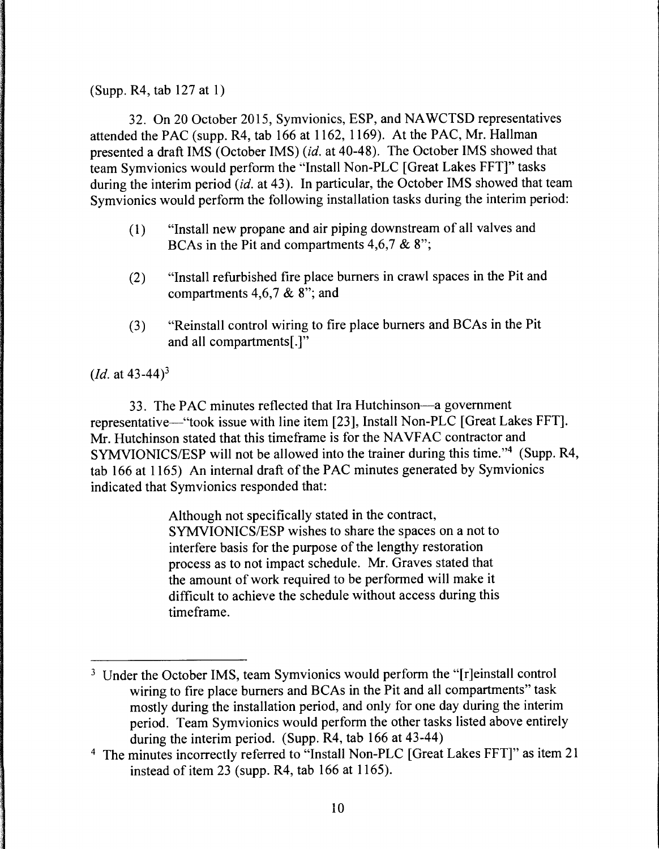(Supp. R4, tab 127 at 1)

32. On 20 October 2015, Symvionics, ESP, and NAWCTSD representatives attended the PAC (supp. R4, tab 166 at 1162, 1169). At the PAC, Mr. Hallman presented a draft IMS (October IMS) *(id.* at 40-48). The October IMS showed that team Symvionics would perform the "Install Non-PLC [Great Lakes FFT]" tasks during the interim period *(id.* at 43). In particular, the October IMS showed that team Symvionics would perform the following installation tasks during the interim period:

- ( 1) "Install new propane and air piping downstream of all valves and BCAs in the Pit and compartments 4,6,7 & 8";
- (2) "Install refurbished fire place burners in crawl spaces in the Pit and compartments  $4,6,7$  & 8"; and
- (3) "Reinstall control wiring to fire place burners and BCAs in the Pit and all compartments[.]"

*(Id.* at 43-44)<sup>3</sup>

33. The PAC minutes reflected that Ira Hutchinson-a government representative—"took issue with line item [23], Install Non-PLC [Great Lakes FFT]. Mr. Hutchinson stated that this timeframe is for the NAVFAC contractor and SYMVIONICS/ESP will not be allowed into the trainer during this time."4 (Supp. R4, tab 166 at 1165) An internal draft of the PAC minutes generated by Symvionics indicated that Symvionics responded that:

> Although not specifically stated in the contract, SYMVIONICS/ESP wishes to share the spaces on a not to interfere basis for the purpose of the lengthy restoration process as to not impact schedule. Mr. Graves stated that the amount of work required to be performed will make it difficult to achieve the schedule without access during this time frame.

<sup>&</sup>lt;sup>3</sup> Under the October IMS, team Symvionics would perform the "[r]einstall control wiring to fire place burners and BCAs in the Pit and all compartments" task mostly during the installation period, and only for one day during the interim period. Team Symvionics would perform the other tasks listed above entirely during the interim period. (Supp. R4, tab 166 at 43-44)

<sup>4</sup> The minutes incorrectly referred to "Install Non-PLC [Great Lakes FFT]" as item 21 instead of item 23 (supp. R4, tab 166 at 1165).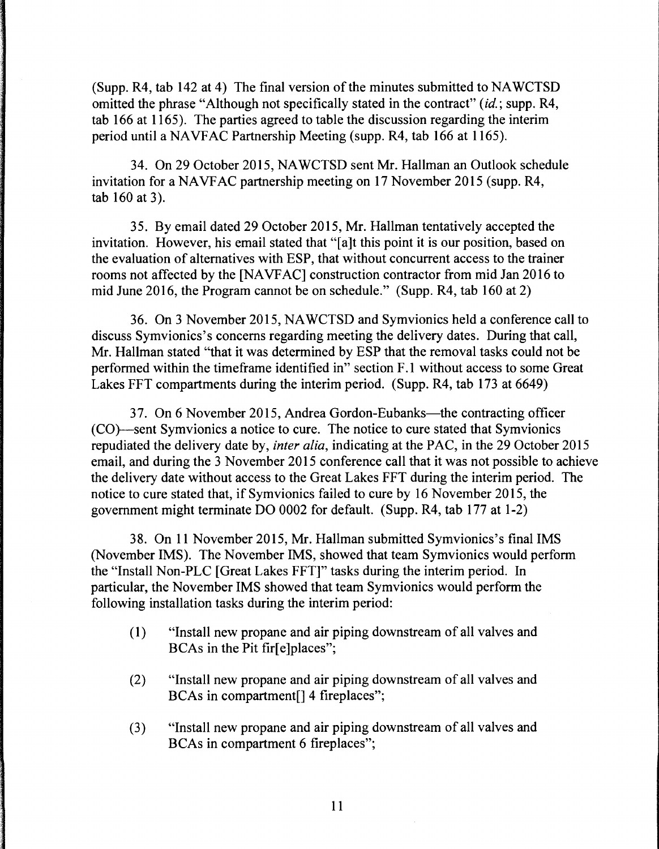(Supp. R4, tab 142 at 4) The final version of the minutes submitted to NAWCTSD omitted the phrase "Although not specifically stated in the contract" *(id.;* supp. R4, tab 166 at 1165). The parties agreed to table the discussion regarding the interim period until a NAVFAC Partnership Meeting (supp. R4, tab 166 at 1165).

34. On 29 October 2015, NAWCTSD sent Mr. Hallman an Outlook schedule invitation for a NAVFAC partnership meeting on 17 November 2015 (supp. R4, tab 160 at 3).

35. By email dated 29 October 2015, Mr. Hallman tentatively accepted the invitation. However, his email stated that "(a]t this point it is our position, based on the evaluation of alternatives with ESP, that without concurrent access to the trainer rooms not affected by the [NA VF AC] construction contractor from mid Jan 2016 to mid June 2016, the Program cannot be on schedule." (Supp. R4, tab 160 at 2)

36. On 3 November 2015, NA WCTSD and Symvionics held a conference call to discuss Symvionics's concerns regarding meeting the delivery dates. During that call, Mr. Hallman stated "that it was determined by ESP that the removal tasks could not be performed within the timeframe identified in" section F .1 without access to some Great Lakes FFT compartments during the interim period. (Supp. R4, tab 173 at 6649)

37. On 6 November 2015, Andrea Gordon-Eubanks—the contracting officer (CO)--sent Symvionics a notice to cure. The notice to cure stated that Symvionics repudiated the delivery date by, *inter alia,* indicating at the PAC, in the 29 October 2015 email, and during the 3 November 2015 conference call that it was not possible to achieve the delivery date without access to the Great Lakes FFT during the interim period. The notice to cure stated that, if Symvionics failed to cure by 16 November 2015, the government might terminate DO 0002 for default. (Supp. R4, tab 177 at 1-2)

38. On 11 November 2015, Mr. Hallman submitted Symvionics's final IMS (November IMS). The November IMS, showed that team Symvionics would perform the "Install Non-PLC [Great Lakes FFT]" tasks during the interim period. In particular, the November IMS showed that team Symvionics would perform the following installation tasks during the interim period:

- ( 1) "Install new propane and air piping downstream of all valves and BCAs in the Pit fir[e]places";
- (2) "Install new propane and air piping downstream of all valves and BCAs in compartment[] 4 fireplaces";
- (3) "Install new propane and air piping downstream of all valves and BCAs in compartment 6 fireplaces";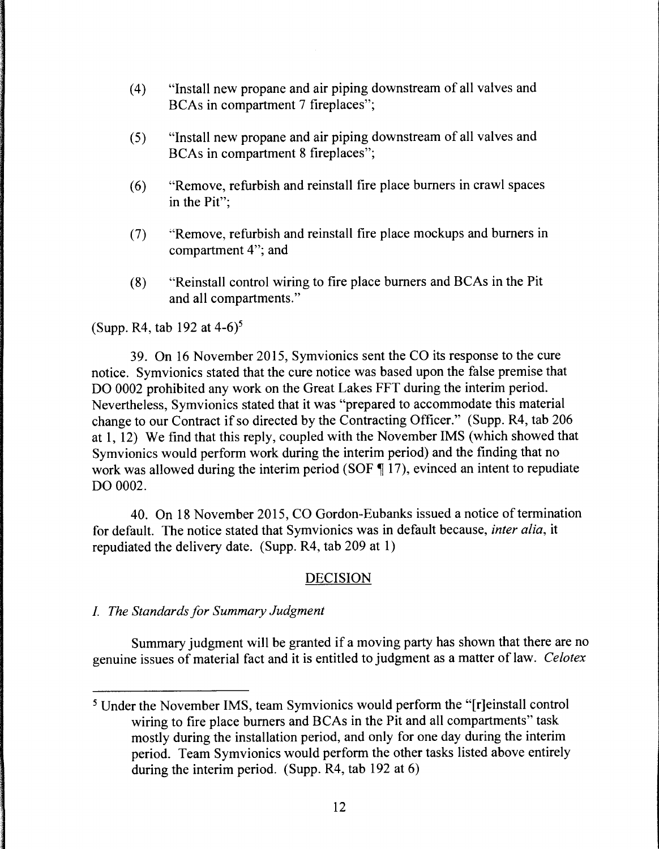- ( 4) "Install new propane and air piping downstream of all valves and BCAs in compartment 7 fireplaces";
- (5) "Install new propane and air piping downstream of all valves and BCAs in compartment 8 fireplaces";
- (6) "Remove, refurbish and reinstall fire place burners in crawl spaces in the Pit";
- (7) "Remove, refurbish and reinstall fire place mockups and burners in compartment 4"; and
- (8) "Reinstall control wiring to fire place burners and BCAs in the Pit and all compartments."

# (Supp. R4, tab 192 at  $4-6$ )<sup>5</sup>

39. On 16 November 2015, Symvionics sent the CO its response to the cure notice. Symvionics stated that the cure notice was based upon the false premise that DO 0002 prohibited any work on the Great Lakes FFT during the interim period. Nevertheless, Symvionics stated that it was "prepared to accommodate this material change to our Contract if so directed by the Contracting Officer." (Supp. R4, tab 206 at 1, 12) We find that this reply, coupled with the November IMS (which showed that Symvionics would perform work during the interim period) and the finding that no work was allowed during the interim period (SOF  $\P$  17), evinced an intent to repudiate DO 0002.

40. On 18 November 2015, CO Gordon-Eubanks issued a notice of termination for default. The notice stated that Symvionics was in default because, *inter alia,* it repudiated the delivery date. (Supp. R4, tab 209 at 1)

### DECISION

### I. *The Standards for Summary Judgment*

Summary judgment will be granted if a moving party has shown that there are no genuine issues of material fact and it is entitled to judgment as a matter of law. *Celotex* 

<sup>5</sup> Under the November IMS, team Symvionics would perform the "[r]einstall control wiring to fire place burners and BCAs in the Pit and all compartments" task mostly during the installation period, and only for one day during the interim period. Team Symvionics would perform the other tasks listed above entirely during the interim period. (Supp. R4, tab 192 at 6)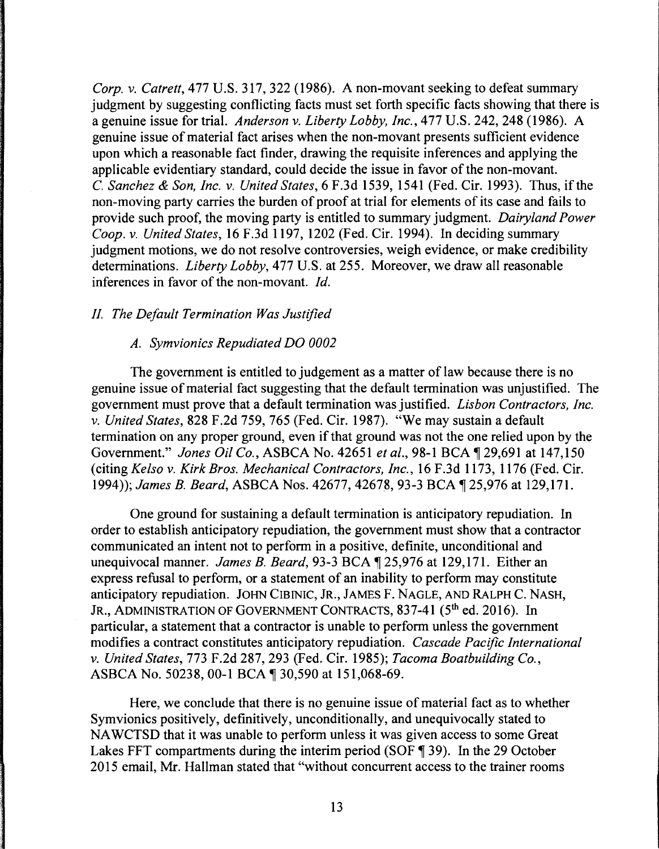*Corp. v. Catrett,* 477 U.S. 317, 322 (1986). A non-movant seeking to defeat summary judgment by suggesting conflicting facts must set forth specific facts showing that there is a genuine issue for trial. *Anderson v. Liberty Lobby, Inc.,* 477 U.S. 242, 248 (1986). A genuine issue of material fact arises when the non-movant presents sufficient evidence upon which a reasonable fact finder, drawing the requisite inferences and applying the applicable evidentiary standard, could decide the issue in favor of the non-movant. C. *Sanchez & Son, Inc. v. United States,* 6 F.3d 1539, 1541 (Fed. Cir. 1993). Thus, ifthe non-moving party carries the burden of proof at trial for elements of its case and fails to provide such proof, the moving party is entitled to summary judgment. *Dairyland Power Coop. v. United States,* 16 F.3d 1197, 1202 (Fed. Cir. 1994). In deciding summary judgment motions, we do not resolve controversies, weigh evidence, or make credibility determinations. *Liberty Lobby,* 477 U.S. at 255. Moreover, we draw all reasonable inferences in favor of the non-movant. *Id.* 

#### *II. The Default Termination Was Justified*

#### *A. Symvionics Repudiated DO 0002*

The government is entitled to judgement as a matter of law because there is no genuine issue of material fact suggesting that the default termination was unjustified. The government must prove that a default termination was justified. *Lisbon Contractors, Inc. v. United States,* 828 F.2d 759, 765 (Fed. Cir. 1987). "We may sustain a default termination on any proper ground, even if that ground was not the one relied upon by the Government." *Jones Oil Co.*, ASBCA No. 42651 *et al.*, 98-1 BCA ¶ 29,691 at 147,150 (citing *Kelso v. Kirk Bros. Mechanical Contractors, Inc.,* 16 F.3d 1173, 1176 (Fed. Cir. 1994)); *James B. Beard*, *ASBCA Nos. 42677, 42678, 93-3 BCA*  $\P$  25,976 at 129,171.

One ground for sustaining a default termination is anticipatory repudiation. In order to establish anticipatory repudiation, the government must show that a contractor communicated an intent not to perform in a positive, definite, unconditional and unequivocal manner. *James B. Beard*, 93-3 BCA ¶ 25,976 at 129,171. Either an express refusal to perform, or a statement of an inability to perform may constitute anticipatory repudiation. JOHN CIBINIC, JR., JAMES F. NAGLE, AND RALPH C. NASH, JR., ADMINISTRATION OF GOVERNMENT CONTRACTS, 837-41 (5<sup>th</sup> ed. 2016). In particular, a statement that a contractor is unable to perform unless the government modifies a contract constitutes anticipatory repudiation. *Cascade Pacific International v. United States,* 773 F.2d 287, 293 (Fed. Cir. 1985); *Tacoma Boatbuilding Co.,*  ASBCA No. 50238, 00-1 BCA ¶ 30,590 at 151,068-69.

Here, we conclude that there is no genuine issue of material fact as to whether Symvionics positively, definitively, unconditionally, and unequivocally stated to NA WCTSD that it was unable to perform unless it was given access to some Great Lakes FFT compartments during the interim period (SOF  $\parallel$  39). In the 29 October 2015 email, Mr. Hallman stated that "without concurrent access to the trainer rooms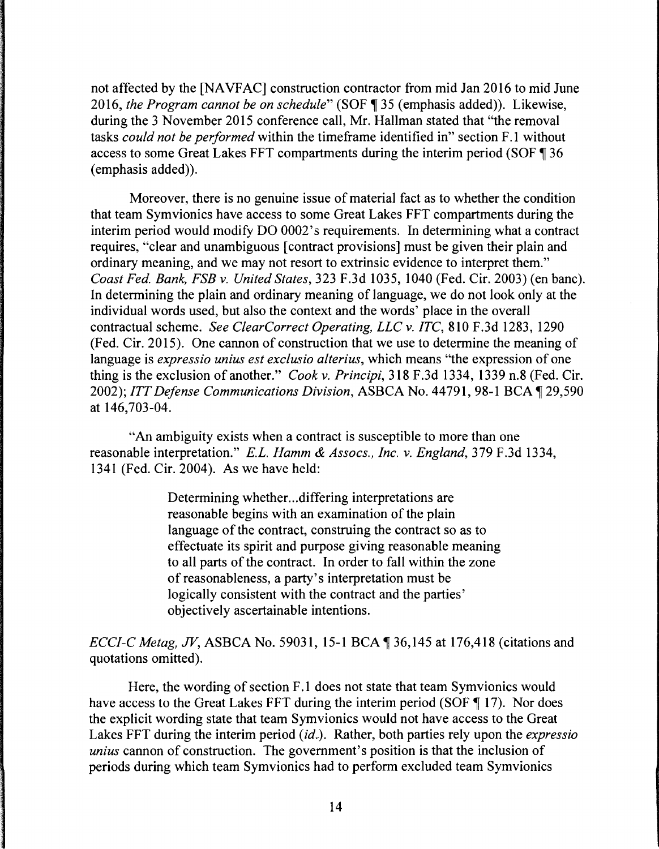not affected by the [NAVFAC] construction contractor from mid Jan 2016 to mid June 2016, *the Program cannot be on schedule*" (SOF ¶ 35 (emphasis added)). Likewise, during the 3 November 2015 conference call, Mr. Hallman stated that "the removal tasks *could not be performed* within the timeframe identified in" section F .1 without access to some Great Lakes FFT compartments during the interim period (SOF ¶ 36 (emphasis added)).

Moreover, there is no genuine issue of material fact as to whether the condition that team Symvionics have access to some Great Lakes FFT compartments during the interim period would modify DO 0002' s requirements. In determining what a contract requires, "clear and unambiguous [contract provisions] must be given their plain and ordinary meaning, and we may not resort to extrinsic evidence to interpret them." *Coast Fed. Bank, FSB v. United States,* 323 F.3d 1035, 1040 (Fed. Cir. 2003) (en bane). In determining the plain and ordinary meaning of language, we do not look only at the individual words used, but also the context and the words' place in the overall contractual scheme. *See ClearCorrect Operating, LLC v. ITC,* 810 F .3d 1283, 1290 (Fed. Cir. 2015). One cannon of construction that we use to determine the meaning of language is *expressio unius est exclusio alterius,* which means "the expression of one thing is the exclusion of another." *Cookv. Principi,* 318 F.3d 1334, 1339 n.8 (Fed. Cir. 2002); *ITT Defense Communications Division*, ASBCA No. 44791, 98-1 BCA 1 29,590 at 146,703-04.

"An ambiguity exists when a contract is susceptible to more than one reasonable interpretation." *E.L. Hamm* & *Assocs., Inc. v. England,* 379 F.3d 1334, 1341 (Fed. Cir. 2004). As we have held:

> Determining whether... differing interpretations are reasonable begins with an examination of the plain language of the contract, construing the contract so as to effectuate its spirit and purpose giving reasonable meaning to all parts of the contract. In order to fall within the zone of reasonableness, a party's interpretation must be logically consistent with the contract and the parties' objectively ascertainable intentions.

*ECCI-C Metag, JV*, ASBCA No. 59031, 15-1 BCA ¶ 36,145 at 176,418 (citations and quotations omitted).

Here, the wording of section F.1 does not state that team Symvionics would have access to the Great Lakes FFT during the interim period (SOF  $\P$  17). Nor does the explicit wording state that team Symvionics would not have access to the Great Lakes FFT during the interim period *(id.)*. Rather, both parties rely upon the *expressio unius* cannon of construction. The government's position is that the inclusion of periods during which team Symvionics had to perform excluded team Symvionics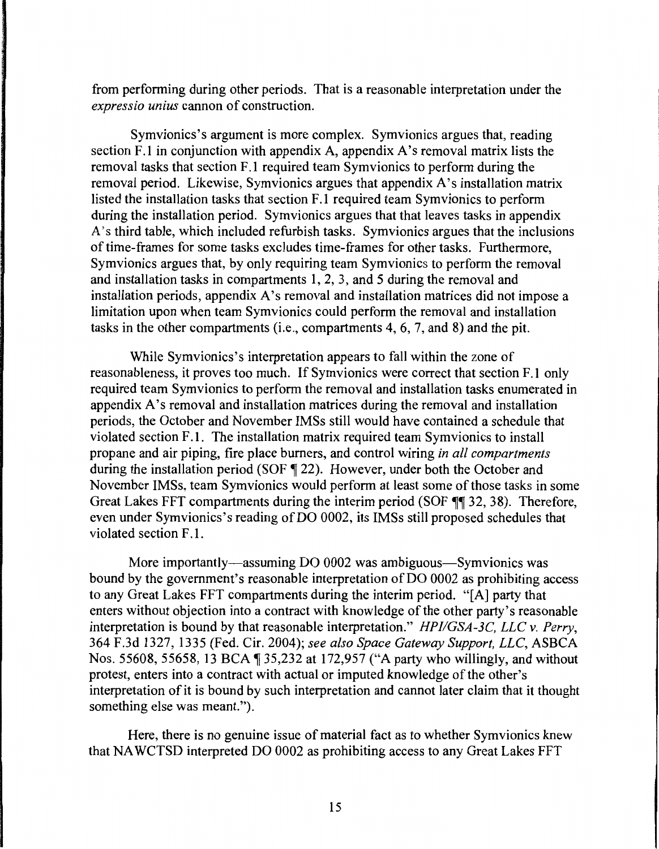from performing during other periods. That is a reasonable interpretation under the *expressio unius* cannon of construction.

Symvionics's argument is more complex. Symvionics argues that, reading section F.1 in conjunction with appendix A, appendix A's removal matrix lists the removal tasks that section F.1 required team Symvionics to perform during the removal period. Likewise, Symvionics argues that appendix A's installation matrix listed the installation tasks that section F .1 required team Symvionics to perform during the installation period. Symvionics argues that that leaves tasks in appendix A's third table, which included refurbish tasks. Symvionics argues that the inclusions of time-frames for some tasks excludes time-frames for other tasks. Furthermore, Symvionics argues that, by only requiring team Symvionics to perform the removal and installation tasks in compartments 1, 2, 3, and 5 during the removal and installation periods, appendix A's removal and installation matrices did not impose a limitation upon when team Symvionics could perform the removal and installation tasks in the other compartments (i.e., compartments 4, 6, 7, and 8) and the pit.

While Symvionics's interpretation appears to fall within the zone of reasonableness, it proves too much. If Symvionics were correct that section F .1 only required team Symvionics to perform the removal and installation tasks enumerated in appendix A's removal and installation matrices during the removal and installation periods, the October and November IMSs still would have contained a schedule that violated section F.1. The installation matrix required team Symvionics to install propane and air piping, fire place burners, and control wiring *in all compartments*  during the installation period (SOF  $\parallel$  22). However, under both the October and November IMSs, team Symvionics would perform at least some of those tasks in some Great Lakes FFT compartments during the interim period (SOF  $\P\P$  32, 38). Therefore, even under Symvionics's reading of DO 0002, its IMSs still proposed schedules that violated section F.1.

More importantly—assuming DO 0002 was ambiguous—Symvionics was bound by the government's reasonable interpretation of DO 0002 as prohibiting access to any Great Lakes FFT compartments during the interim period. "[A] party that enters without objection into a contract with knowledge of the other party's reasonable interpretation is bound by that reasonable interpretation." *HPJIGSA-3C, LLC v. Perry,*  364 F.3d 1327, 1335 (Fed. Cir. 2004); *see also Space Gateway Support, LLC,* ASBCA Nos. 55608, 55658, 13 BCA ¶ 35,232 at 172,957 ("A party who willingly, and without protest, enters into a contract with actual or imputed knowledge of the other's interpretation of it is bound by such interpretation and cannot later claim that it thought something else was meant.").

Here, there is no genuine issue of material fact as to whether Symvionics knew that NA WCTSD interpreted DO 0002 as prohibiting access to any Great Lakes FFT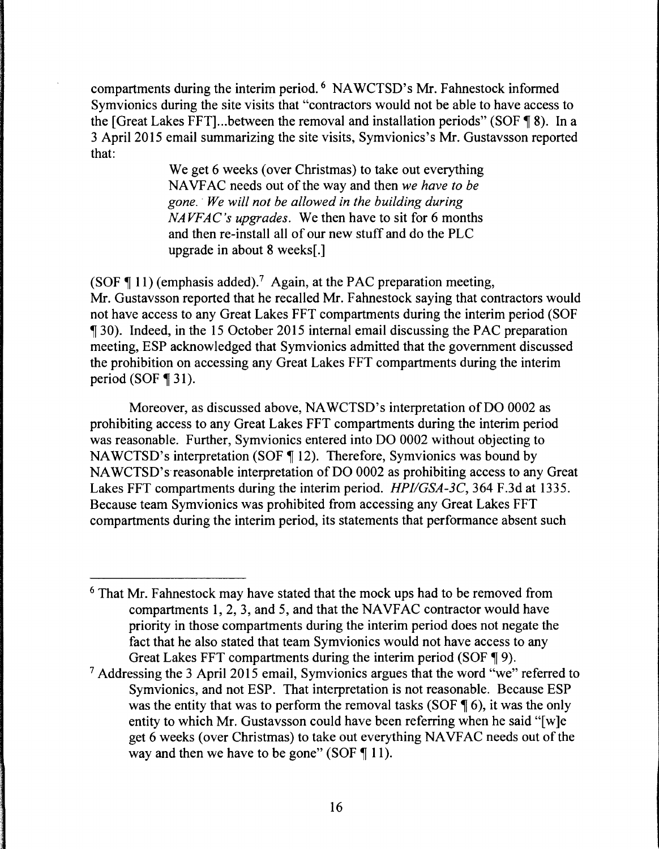compartments during the interim period. 6 NAWCTSD's Mr. Fahnestock informed Symvionics during the site visits that "contractors would not be able to have access to the [Great Lakes FFT]... between the removal and installation periods" (SOF  $\P$  8). In a 3 April 2015 email summarizing the site visits, Symvionics's Mr. Gustavsson reported that:

> We get 6 weeks (over Christmas) to take out everything NA VF AC needs out of the way and then *we have to be gone.* · *We will not be allowed in the building during NAVFAC's upgrades.* We then have to sit for 6 months and then re-install all of our new stuff and do the PLC upgrade in about 8 weeks[.]

(SOF  $\P$  11) (emphasis added).<sup>7</sup> Again, at the PAC preparation meeting, Mr. Gustavsson reported that he recalled Mr. Fahnestock saying that contractors would not have access to any Great Lakes FFT compartments during the interim period (SOF <sup>~</sup>30). Indeed, in the 15 October 2015 internal email discussing the PAC preparation meeting, ESP acknowledged that Symvionics admitted that the government discussed the prohibition on accessing any Great Lakes FFT compartments during the interim period (SOF  $\P$  31).

Moreover, as discussed above, NAWCTSD's interpretation of DO 0002 as prohibiting access to any Great Lakes FFT compartments during the interim period was reasonable. Further, Symvionics entered into DO 0002 without objecting to NAWCTSD's interpretation (SOF  $\P$  12). Therefore, Symvionics was bound by NAWCTSD's reasonable interpretation of DO 0002 as prohibiting access to any Great Lakes FFT compartments during the interim period. *HPI/GSA-3C*, 364 F.3d at 1335. Because team Symvionics was prohibited from accessing any Great Lakes FFT compartments during the interim period, its statements that performance absent such

<sup>6</sup> That Mr. Fahnestock may have stated that the mock ups had to be removed from compartments 1, 2, 3, and 5, and that the NAVFAC contractor would have priority in those compartments during the interim period does not negate the fact that he also stated that team Symvionics would not have access to any Great Lakes FFT compartments during the interim period (SOF  $\P$  9).

 $<sup>7</sup>$  Addressing the 3 April 2015 email, Symvionics argues that the word "we" referred to</sup> Symvionics, and not ESP. That interpretation is not reasonable. Because ESP was the entity that was to perform the removal tasks (SOF  $\parallel$  6), it was the only entity to which Mr. Gustavsson could have been referring when he said "[w]e get 6 weeks (over Christmas) to take out everything NA VF AC needs out of the way and then we have to be gone" (SOF  $\P$  11).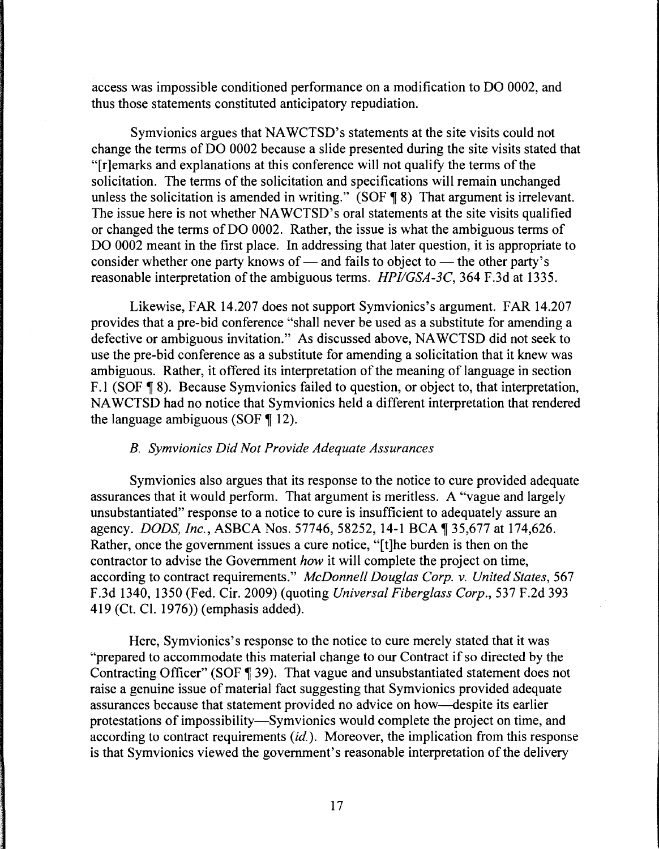access was impossible conditioned performance on a modification to DO 0002, and thus those statements constituted anticipatory repudiation.

Symvionics argues that NA WCTSD's statements at the site visits could not change the terms of DO 0002 because a slide presented during the site visits stated that "[r]emarks and explanations at this conference will not qualify the terms of the solicitation. The terms of the solicitation and specifications will remain unchanged unless the solicitation is amended in writing." (SOF  $\P$  8) That argument is irrelevant. The issue here is not whether NA WCTSD's oral statements at the site visits qualified or changed the terms of DO 0002. Rather, the issue is what the ambiguous terms of DO 0002 meant in the first place. In addressing that later question, it is appropriate to consider whether one party knows of — and fails to object to — the other party's reasonable interpretation of the ambiguous terms. *HPI/GSA-3C*, 364 F.3d at 1335.

Likewise, FAR 14.207 does not support Symvionics's argument. FAR 14.207 provides that a pre-bid conference "shall never be used as a substitute for amending a defective or ambiguous invitation." As discussed above, NA WCTSD did not seek to use the pre-bid conference as a substitute for amending a solicitation that it knew was ambiguous. Rather, it offered its interpretation of the meaning of language in section F.1 (SOF ¶ 8). Because Symvionics failed to question, or object to, that interpretation, NA WCTSD had no notice that Symvionics held a different interpretation that rendered the language ambiguous (SOF  $\P$  12).

#### *B. Symvionics Did Not Provide Adequate Assurances*

Symvionics also argues that its response to the notice to cure provided adequate assurances that it would perform. That argument is meritless. A "vague and largely unsubstantiated" response to a notice to cure is insufficient to adequately assure an agency. *DODS, Inc.*, ASBCA Nos. 57746, 58252, 14-1 BCA ¶ 35,677 at 174,626. Rather, once the government issues a cure notice, "[t]he burden is then on the contractor to advise the Government *how* it will complete the project on time, according to contract requirements." *McDonnell Douglas Corp. v. United States,* 567 F.3d 1340, 1350 (Fed. Cir. 2009) (quoting *Universal Fiberglass Corp.,* 537 F.2d 393 419 (Ct. Cl. 1976)) (emphasis added).

Here, Symvionics's response to the notice to cure merely stated that it was "prepared to accommodate this material change to our Contract if so directed by the Contracting Officer" (SOF ¶ 39). That vague and unsubstantiated statement does not raise a genuine issue of material fact suggesting that Symvionics provided adequate assurances because that statement provided no advice on how--despite its earlier protestations of impossibility-Symvionics would complete the project on time, and according to contract requirements *(id.).* Moreover, the implication from this response is that Symvionics viewed the government's reasonable interpretation of the delivery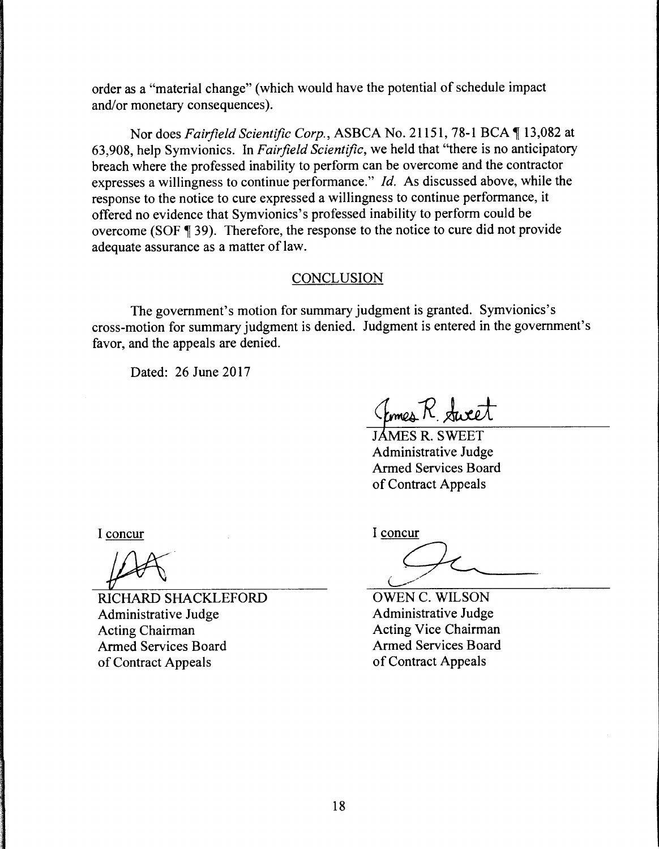order as a "material change" (which would have the potential of schedule impact and/or monetary consequences).

Nor does *Fairfield Scientific Corp.*, ASBCA No. 21151, 78-1 BCA 13,082 at 63,908, help Symvionics. In *Fairfield Scientific,* we held that "there is no anticipatory breach where the professed inability to perform can be overcome and the contractor expresses a willingness to continue performance." *Id.* As discussed above, while the response to the notice to cure expressed a willingness to continue performance, it offered no evidence that Symvionics's professed inability to perform could be overcome (SOF  $\parallel$  39). Therefore, the response to the notice to cure did not provide adequate assurance as a matter of law.

### **CONCLUSION**

The government's motion for summary judgment is granted. Symvionics's cross-motion for summary judgment is denied. Judgment is entered in the government's favor, and the appeals are denied.

Dated: 26 June 2017

Comes R. Sweet

**IAMES R. SWEET** Administrative Judge Armed Services Board of Contract Appeals

I concur

RICHARD SHACKLEFORD Administrative Judge Acting Chairman Armed Services Board of Contract Appeals

I concur

OWEN C. WILSON Administrative Judge Acting Vice Chairman Armed Services Board of Contract Appeals